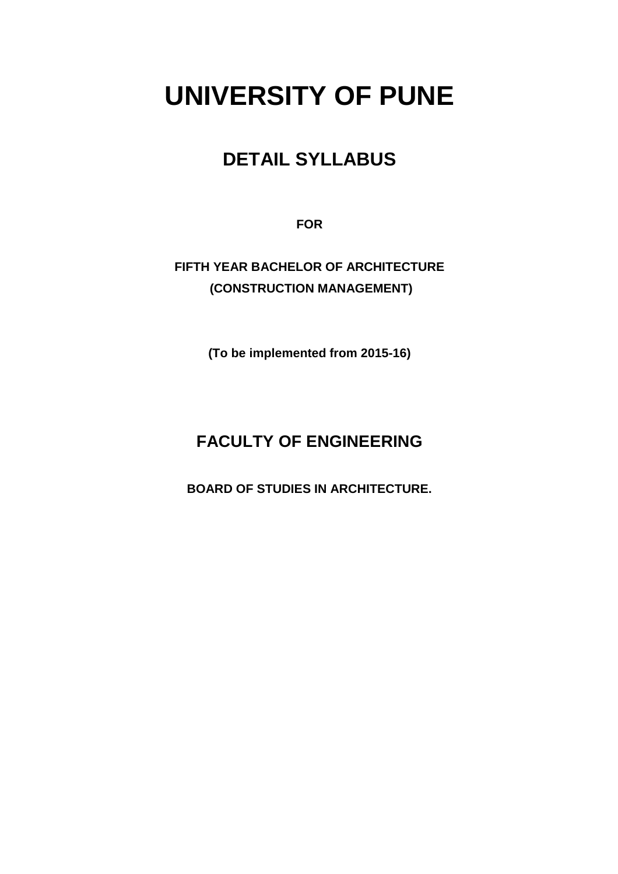# **UNIVERSITY OF PUNE**

## **DETAIL SYLLABUS**

**FOR** 

**FIFTH YEAR BACHELOR OF ARCHITECTURE (CONSTRUCTION MANAGEMENT)** 

**(To be implemented from 2015-16)** 

### **FACULTY OF ENGINEERING**

**BOARD OF STUDIES IN ARCHITECTURE.**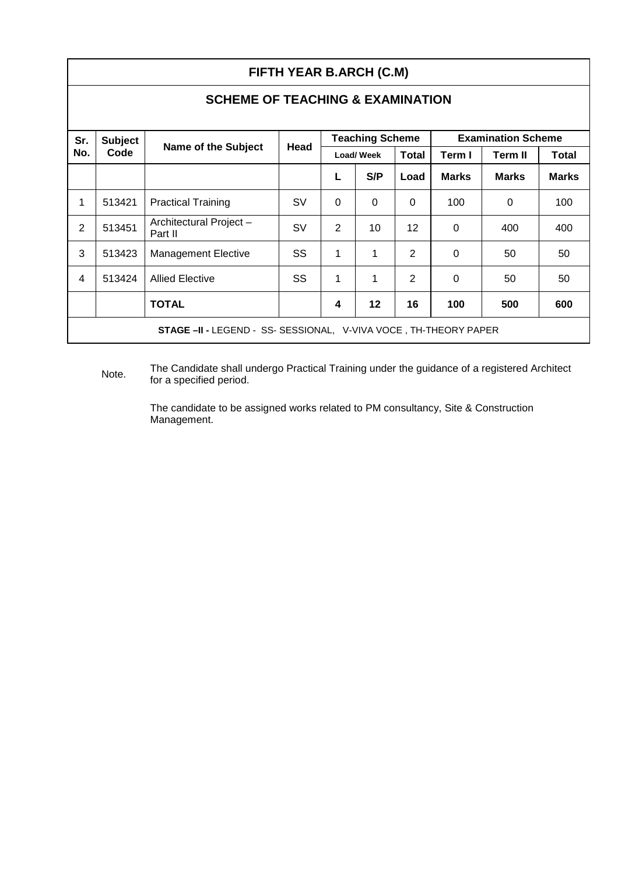|                                                                         | FIFTH YEAR B.ARCH (C.M) |                                   |           |          |                        |                |              |                           |              |  |
|-------------------------------------------------------------------------|-------------------------|-----------------------------------|-----------|----------|------------------------|----------------|--------------|---------------------------|--------------|--|
| <b>SCHEME OF TEACHING &amp; EXAMINATION</b>                             |                         |                                   |           |          |                        |                |              |                           |              |  |
| Sr.                                                                     | <b>Subject</b>          |                                   |           |          | <b>Teaching Scheme</b> |                |              | <b>Examination Scheme</b> |              |  |
| No.                                                                     | Code                    | <b>Name of the Subject</b>        | Head      |          | Load/Week              | Total          | Term I       | <b>Term II</b>            | Total        |  |
|                                                                         |                         |                                   |           | L        | S/P                    | Load           | <b>Marks</b> | <b>Marks</b>              | <b>Marks</b> |  |
| 1                                                                       | 513421                  | <b>Practical Training</b>         | <b>SV</b> | $\Omega$ | $\Omega$               | $\Omega$       | 100          | $\Omega$                  | 100          |  |
| 2                                                                       | 513451                  | Architectural Project-<br>Part II | <b>SV</b> | 2        | 10                     | 12             | $\Omega$     | 400                       | 400          |  |
| 3                                                                       | 513423                  | <b>Management Elective</b>        | <b>SS</b> | 1        | 1                      | $\overline{2}$ | $\Omega$     | 50                        | 50           |  |
| 4                                                                       | 513424                  | <b>Allied Elective</b>            | SS        | 1        | 1                      | $\overline{2}$ | $\Omega$     | 50                        | 50           |  |
|                                                                         |                         | <b>TOTAL</b>                      |           | 4        | $12 \,$                | 16             | 100          | 500                       | 600          |  |
| <b>STAGE -II - LEGEND - SS- SESSIONAL, V-VIVA VOCE, TH-THEORY PAPER</b> |                         |                                   |           |          |                        |                |              |                           |              |  |

Note. The Candidate shall undergo Practical Training under the guidance of a registered Architect for a specified period.

The candidate to be assigned works related to PM consultancy, Site & Construction Management.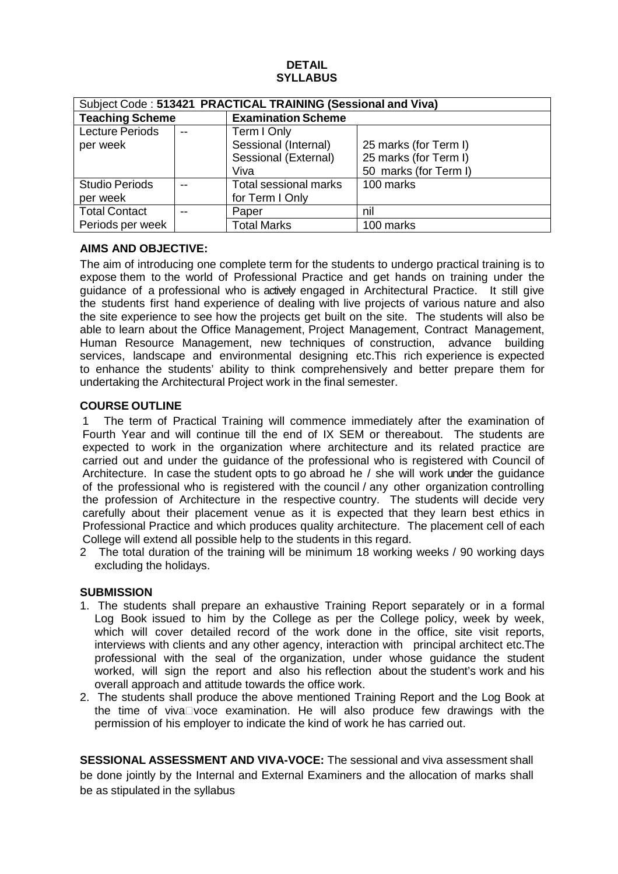#### **DETAIL SYLLABUS**

| Subject Code: 513421 PRACTICAL TRAINING (Sessional and Viva) |  |                              |                       |  |
|--------------------------------------------------------------|--|------------------------------|-----------------------|--|
| <b>Teaching Scheme</b>                                       |  | <b>Examination Scheme</b>    |                       |  |
| <b>Lecture Periods</b>                                       |  | Term I Only                  |                       |  |
| per week                                                     |  | Sessional (Internal)         | 25 marks (for Term I) |  |
|                                                              |  | Sessional (External)         | 25 marks (for Term I) |  |
|                                                              |  | Viva                         | 50 marks (for Term I) |  |
| <b>Studio Periods</b>                                        |  | <b>Total sessional marks</b> | 100 marks             |  |
| per week                                                     |  | for Term I Only              |                       |  |
| <b>Total Contact</b>                                         |  | Paper                        | nil                   |  |
| Periods per week                                             |  | <b>Total Marks</b>           | 100 marks             |  |

#### **AIMS AND OBJECTIVE:**

The aim of introducing one complete term for the students to undergo practical training is to expose them to the world of Professional Practice and get hands on training under the guidance of a professional who is actively engaged in Architectural Practice. It still give the students first hand experience of dealing with live projects of various nature and also the site experience to see how the projects get built on the site. The students will also be able to learn about the Office Management, Project Management, Contract Management, Human Resource Management, new techniques of construction, advance building services, landscape and environmental designing etc.This rich experience is expected to enhance the students' ability to think comprehensively and better prepare them for undertaking the Architectural Project work in the final semester.

#### **COURSE OUTLINE**

1 The term of Practical Training will commence immediately after the examination of Fourth Year and will continue till the end of IX SEM or thereabout. The students are expected to work in the organization where architecture and its related practice are carried out and under the guidance of the professional who is registered with Council of Architecture. In case the student opts to go abroad he / she will work under the guidance of the professional who is registered with the council / any other organization controlling the profession of Architecture in the respective country. The students will decide very carefully about their placement venue as it is expected that they learn best ethics in Professional Practice and which produces quality architecture. The placement cell of each College will extend all possible help to the students in this regard.

2 The total duration of the training will be minimum 18 working weeks / 90 working days excluding the holidays.

#### **SUBMISSION**

- 1. The students shall prepare an exhaustive Training Report separately or in a formal Log Book issued to him by the College as per the College policy, week by week, which will cover detailed record of the work done in the office, site visit reports, interviews with clients and any other agency, interaction with principal architect etc.The professional with the seal of the organization, under whose guidance the student worked, will sign the report and also his reflection about the student's work and his overall approach and attitude towards the office work.
- 2. The students shall produce the above mentioned Training Report and the Log Book at the time of viva voce examination. He will also produce few drawings with the permission of his employer to indicate the kind of work he has carried out.

**SESSIONAL ASSESSMENT AND VIVA-VOCE:** The sessional and viva assessment shall be done jointly by the Internal and External Examiners and the allocation of marks shall be as stipulated in the syllabus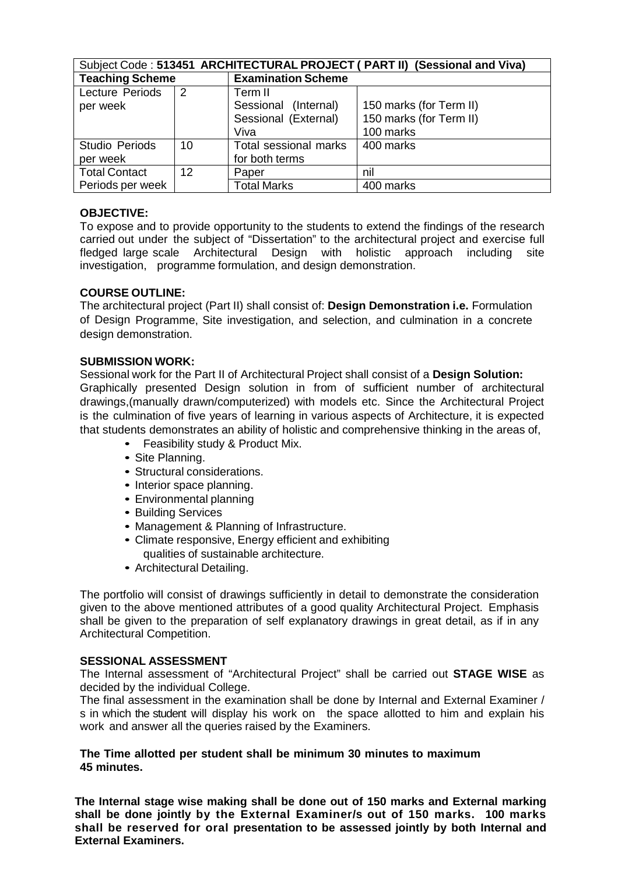| Subject Code: 513451 ARCHITECTURAL PROJECT ( PART II) (Sessional and Viva) |    |                           |                         |  |  |
|----------------------------------------------------------------------------|----|---------------------------|-------------------------|--|--|
| <b>Teaching Scheme</b>                                                     |    | <b>Examination Scheme</b> |                         |  |  |
| Lecture Periods                                                            | 2  | Term II                   |                         |  |  |
| per week                                                                   |    | Sessional (Internal)      | 150 marks (for Term II) |  |  |
|                                                                            |    | Sessional (External)      | 150 marks (for Term II) |  |  |
|                                                                            |    | Viva                      | 100 marks               |  |  |
| <b>Studio Periods</b>                                                      | 10 | Total sessional marks     | 400 marks               |  |  |
| per week                                                                   |    | for both terms            |                         |  |  |
| <b>Total Contact</b><br>12 <sup>°</sup>                                    |    | Paper                     | nil                     |  |  |
| Periods per week                                                           |    | <b>Total Marks</b>        | 400 marks               |  |  |

#### **OBJECTIVE:**

To expose and to provide opportunity to the students to extend the findings of the research carried out under the subject of "Dissertation" to the architectural project and exercise full fledged large scale Architectural Design with holistic approach including site investigation, programme formulation, and design demonstration.

#### **COURSE OUTLINE:**

The architectural project (Part II) shall consist of: **Design Demonstration i.e.** Formulation of Design Programme, Site investigation, and selection, and culmination in a concrete design demonstration.

#### **SUBMISSION WORK:**

Sessional work for the Part II of Architectural Project shall consist of a **Design Solution:** Graphically presented Design solution in from of sufficient number of architectural drawings,(manually drawn/computerized) with models etc. Since the Architectural Project is the culmination of five years of learning in various aspects of Architecture, it is expected that students demonstrates an ability of holistic and comprehensive thinking in the areas of,

- Feasibility study & Product Mix.
- Site Planning.
- Structural considerations.
- Interior space planning.
- Environmental planning
- Building Services
- Management & Planning of Infrastructure.
- Climate responsive, Energy efficient and exhibiting qualities of sustainable architecture.
- Architectural Detailing.

The portfolio will consist of drawings sufficiently in detail to demonstrate the consideration given to the above mentioned attributes of a good quality Architectural Project. Emphasis shall be given to the preparation of self explanatory drawings in great detail, as if in any Architectural Competition.

#### **SESSIONAL ASSESSMENT**

The Internal assessment of "Architectural Project" shall be carried out **STAGE WISE** as decided by the individual College.

The final assessment in the examination shall be done by Internal and External Examiner / s in which the student will display his work on the space allotted to him and explain his work and answer all the queries raised by the Examiners.

#### **The Time allotted per student shall be minimum 30 minutes to maximum 45 minutes.**

**The Internal stage wise making shall be done out of 150 marks and External marking shall be done jointly by the External Examiner/s out of 150 marks. 100 marks shall be reserved for oral presentation to be assessed jointly by both Internal and External Examiners.**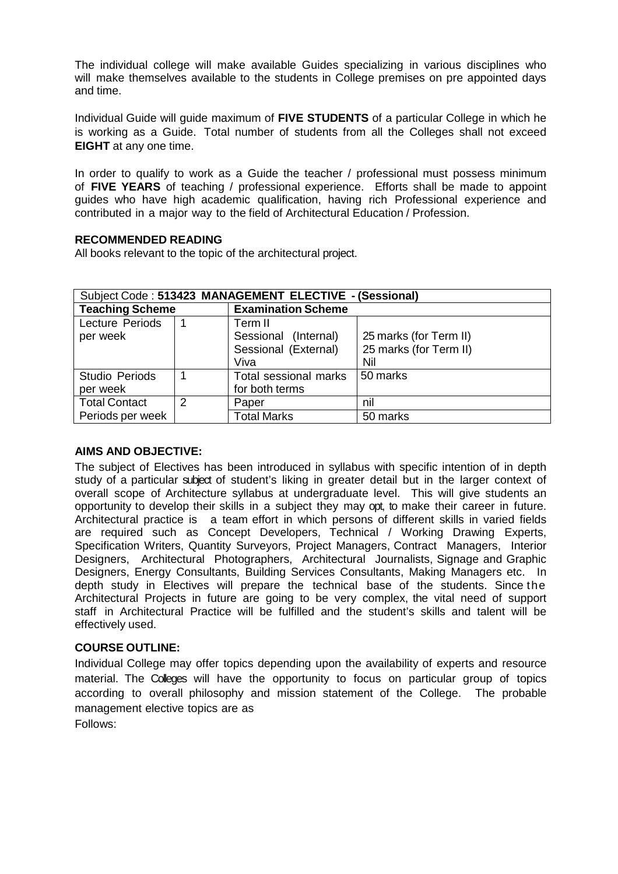The individual college will make available Guides specializing in various disciplines who will make themselves available to the students in College premises on pre appointed days and time.

Individual Guide will guide maximum of **FIVE STUDENTS** of a particular College in which he is working as a Guide. Total number of students from all the Colleges shall not exceed **EIGHT** at any one time.

In order to qualify to work as a Guide the teacher / professional must possess minimum of **FIVE YEARS** of teaching / professional experience. Efforts shall be made to appoint guides who have high academic qualification, having rich Professional experience and contributed in a major way to the field of Architectural Education / Profession.

#### **RECOMMENDED READING**

All books relevant to the topic of the architectural project.

| Subject Code: 513423 MANAGEMENT ELECTIVE - (Sessional) |  |                           |                        |  |
|--------------------------------------------------------|--|---------------------------|------------------------|--|
| <b>Teaching Scheme</b>                                 |  | <b>Examination Scheme</b> |                        |  |
| Lecture Periods                                        |  | Term II                   |                        |  |
| per week                                               |  | Sessional (Internal)      | 25 marks (for Term II) |  |
|                                                        |  | Sessional (External)      | 25 marks (for Term II) |  |
|                                                        |  | Viva                      | Nil                    |  |
| <b>Studio Periods</b>                                  |  | Total sessional marks     | 50 marks               |  |
| per week                                               |  | for both terms            |                        |  |
| <b>Total Contact</b><br>$\mathcal{P}$                  |  | Paper                     | nil                    |  |
| Periods per week                                       |  | <b>Total Marks</b>        | 50 marks               |  |

#### **AIMS AND OBJECTIVE:**

The subject of Electives has been introduced in syllabus with specific intention of in depth study of a particular subject of student's liking in greater detail but in the larger context of overall scope of Architecture syllabus at undergraduate level. This will give students an opportunity to develop their skills in a subject they may opt, to make their career in future. Architectural practice is a team effort in which persons of different skills in varied fields are required such as Concept Developers, Technical / Working Drawing Experts, Specification Writers, Quantity Surveyors, Project Managers, Contract Managers, Interior Designers, Architectural Photographers, Architectural Journalists, Signage and Graphic Designers, Energy Consultants, Building Services Consultants, Making Managers etc. In depth study in Electives will prepare the technical base of the students. Since the Architectural Projects in future are going to be very complex, the vital need of support staff in Architectural Practice will be fulfilled and the student's skills and talent will be effectively used.

#### **COURSE OUTLINE:**

Individual College may offer topics depending upon the availability of experts and resource material. The Colleges will have the opportunity to focus on particular group of topics according to overall philosophy and mission statement of the College. The probable management elective topics are as Follows: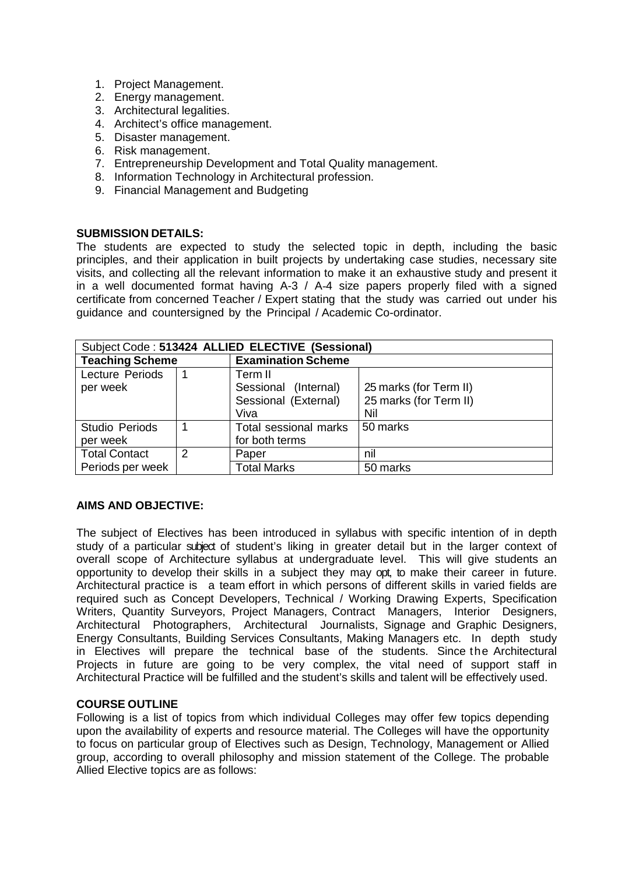- 1. Project Management.
- 2. Energy management.
- 3. Architectural legalities.
- 4. Architect's office management.
- 5. Disaster management.
- 6. Risk management.
- 7. Entrepreneurship Development and Total Quality management.
- 8. Information Technology in Architectural profession.
- 9. Financial Management and Budgeting

#### **SUBMISSION DETAILS:**

The students are expected to study the selected topic in depth, including the basic principles, and their application in built projects by undertaking case studies, necessary site visits, and collecting all the relevant information to make it an exhaustive study and present it in a well documented format having A-3 / A-4 size papers properly filed with a signed certificate from concerned Teacher / Expert stating that the study was carried out under his guidance and countersigned by the Principal / Academic Co-ordinator.

| Subject Code: 513424 ALLIED ELECTIVE (Sessional) |  |                           |                        |  |
|--------------------------------------------------|--|---------------------------|------------------------|--|
| <b>Teaching Scheme</b>                           |  | <b>Examination Scheme</b> |                        |  |
| Lecture Periods                                  |  | Term II                   |                        |  |
| per week                                         |  | Sessional (Internal)      | 25 marks (for Term II) |  |
|                                                  |  | Sessional (External)      | 25 marks (for Term II) |  |
|                                                  |  | Viva                      | Nil                    |  |
| <b>Studio Periods</b>                            |  | Total sessional marks     | 50 marks               |  |
| per week                                         |  | for both terms            |                        |  |
| <b>Total Contact</b><br>2                        |  | Paper                     | nil                    |  |
| Periods per week                                 |  | <b>Total Marks</b>        | 50 marks               |  |

#### **AIMS AND OBJECTIVE:**

The subject of Electives has been introduced in syllabus with specific intention of in depth study of a particular subject of student's liking in greater detail but in the larger context of overall scope of Architecture syllabus at undergraduate level. This will give students an opportunity to develop their skills in a subject they may opt, to make their career in future. Architectural practice is a team effort in which persons of different skills in varied fields are required such as Concept Developers, Technical / Working Drawing Experts, Specification Writers, Quantity Surveyors, Project Managers, Contract Managers, Interior Designers, Architectural Photographers, Architectural Journalists, Signage and Graphic Designers, Energy Consultants, Building Services Consultants, Making Managers etc. In depth study in Electives will prepare the technical base of the students. Since the Architectural Projects in future are going to be very complex, the vital need of support staff in Architectural Practice will be fulfilled and the student's skills and talent will be effectively used.

#### **COURSE OUTLINE**

Following is a list of topics from which individual Colleges may offer few topics depending upon the availability of experts and resource material. The Colleges will have the opportunity to focus on particular group of Electives such as Design, Technology, Management or Allied group, according to overall philosophy and mission statement of the College. The probable Allied Elective topics are as follows: